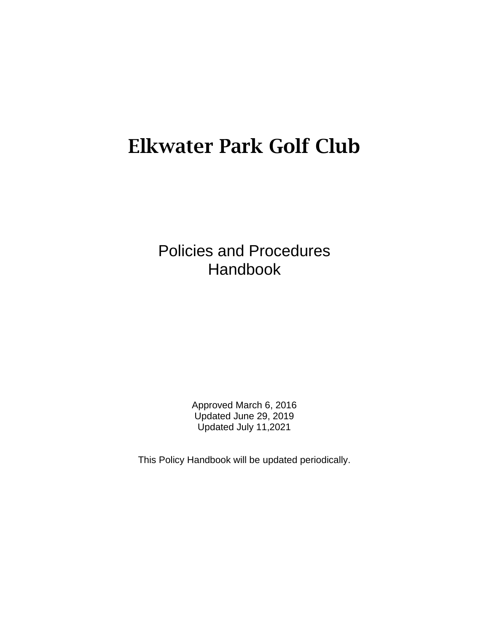# Elkwater Park Golf Club

Policies and Procedures Handbook

> Approved March 6, 2016 Updated June 29, 2019 Updated July 11,2021

This Policy Handbook will be updated periodically.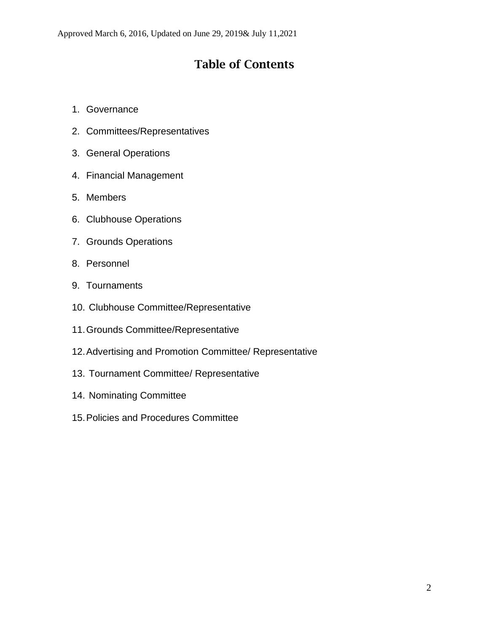# Table of Contents

- 1. Governance
- 2. Committees/Representatives
- 3. General Operations
- 4. Financial Management
- 5. Members
- 6. Clubhouse Operations
- 7. Grounds Operations
- 8. Personnel
- 9. Tournaments
- 10. Clubhouse Committee/Representative
- 11.Grounds Committee/Representative
- 12.Advertising and Promotion Committee/ Representative
- 13. Tournament Committee/ Representative
- 14. Nominating Committee
- 15.Policies and Procedures Committee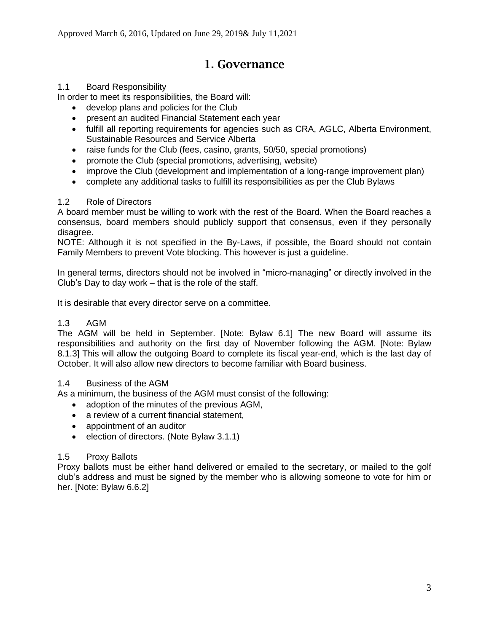# 1. Governance

#### 1.1 Board Responsibility

In order to meet its responsibilities, the Board will:

- develop plans and policies for the Club
- present an audited Financial Statement each year
- fulfill all reporting requirements for agencies such as CRA, AGLC, Alberta Environment, Sustainable Resources and Service Alberta
- raise funds for the Club (fees, casino, grants, 50/50, special promotions)
- promote the Club (special promotions, advertising, website)
- improve the Club (development and implementation of a long-range improvement plan)
- complete any additional tasks to fulfill its responsibilities as per the Club Bylaws

#### 1.2 Role of Directors

A board member must be willing to work with the rest of the Board. When the Board reaches a consensus, board members should publicly support that consensus, even if they personally disagree.

NOTE: Although it is not specified in the By-Laws, if possible, the Board should not contain Family Members to prevent Vote blocking. This however is just a guideline.

In general terms, directors should not be involved in "micro-managing" or directly involved in the Club's Day to day work – that is the role of the staff.

It is desirable that every director serve on a committee.

#### 1.3 AGM

The AGM will be held in September. [Note: Bylaw 6.1] The new Board will assume its responsibilities and authority on the first day of November following the AGM. [Note: Bylaw 8.1.3] This will allow the outgoing Board to complete its fiscal year-end, which is the last day of October. It will also allow new directors to become familiar with Board business.

#### 1.4 Business of the AGM

As a minimum, the business of the AGM must consist of the following:

- adoption of the minutes of the previous AGM,
- a review of a current financial statement,
- appointment of an auditor
- election of directors. (Note Bylaw 3.1.1)

#### 1.5 Proxy Ballots

Proxy ballots must be either hand delivered or emailed to the secretary, or mailed to the golf club's address and must be signed by the member who is allowing someone to vote for him or her. [Note: Bylaw 6.6.2]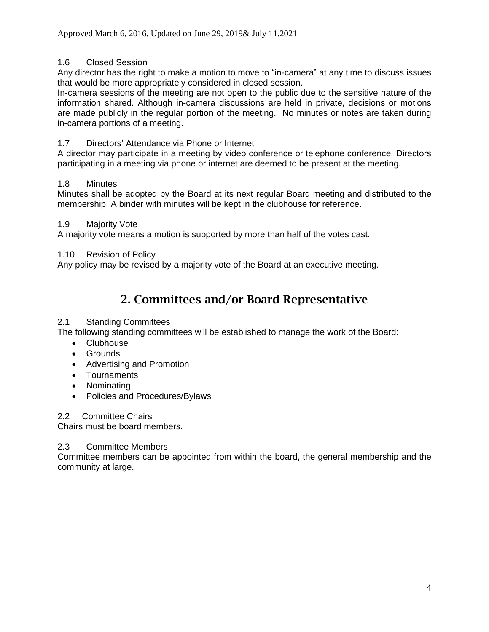# 1.6 Closed Session

Any director has the right to make a motion to move to "in-camera" at any time to discuss issues that would be more appropriately considered in closed session.

In-camera sessions of the meeting are not open to the public due to the sensitive nature of the information shared. Although in-camera discussions are held in private, decisions or motions are made publicly in the regular portion of the meeting. No minutes or notes are taken during in-camera portions of a meeting.

### 1.7 Directors' Attendance via Phone or Internet

A director may participate in a meeting by video conference or telephone conference. Directors participating in a meeting via phone or internet are deemed to be present at the meeting.

### 1.8 Minutes

Minutes shall be adopted by the Board at its next regular Board meeting and distributed to the membership. A binder with minutes will be kept in the clubhouse for reference.

### 1.9 Majority Vote

A majority vote means a motion is supported by more than half of the votes cast.

### 1.10 Revision of Policy

Any policy may be revised by a majority vote of the Board at an executive meeting.

# 2. Committees and/or Board Representative

# 2.1 Standing Committees

The following standing committees will be established to manage the work of the Board:

- Clubhouse
- Grounds
- Advertising and Promotion
- Tournaments
- Nominating
- Policies and Procedures/Bylaws

# 2.2 Committee Chairs

Chairs must be board members.

# 2.3 Committee Members

Committee members can be appointed from within the board, the general membership and the community at large.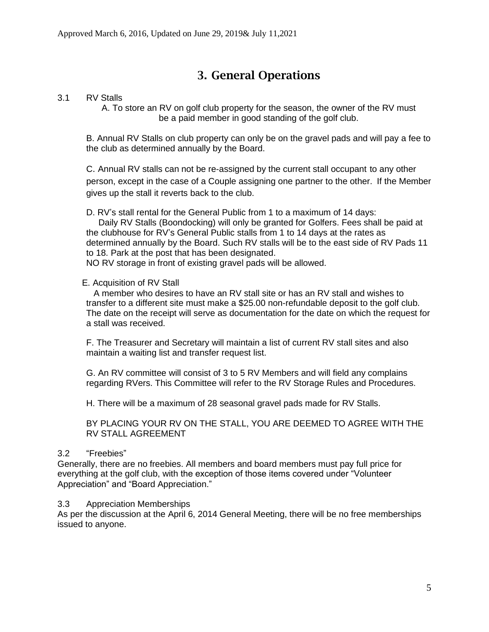# 3. General Operations

# 3.1 RV Stalls

A. To store an RV on golf club property for the season, the owner of the RV must be a paid member in good standing of the golf club.

B. Annual RV Stalls on club property can only be on the gravel pads and will pay a fee to the club as determined annually by the Board.

C. Annual RV stalls can not be re-assigned by the current stall occupant to any other person, except in the case of a Couple assigning one partner to the other. If the Member gives up the stall it reverts back to the club.

D. RV's stall rental for the General Public from 1 to a maximum of 14 days:

 Daily RV Stalls (Boondocking) will only be granted for Golfers. Fees shall be paid at the clubhouse for RV's General Public stalls from 1 to 14 days at the rates as determined annually by the Board. Such RV stalls will be to the east side of RV Pads 11 to 18. Park at the post that has been designated.

NO RV storage in front of existing gravel pads will be allowed.

#### E. Acquisition of RV Stall

 A member who desires to have an RV stall site or has an RV stall and wishes to transfer to a different site must make a \$25.00 non-refundable deposit to the golf club. The date on the receipt will serve as documentation for the date on which the request for a stall was received.

F. The Treasurer and Secretary will maintain a list of current RV stall sites and also maintain a waiting list and transfer request list.

G. An RV committee will consist of 3 to 5 RV Members and will field any complains regarding RVers. This Committee will refer to the RV Storage Rules and Procedures.

H. There will be a maximum of 28 seasonal gravel pads made for RV Stalls.

BY PLACING YOUR RV ON THE STALL, YOU ARE DEEMED TO AGREE WITH THE RV STALL AGREEMENT

#### 3.2 "Freebies"

Generally, there are no freebies. All members and board members must pay full price for everything at the golf club, with the exception of those items covered under "Volunteer Appreciation" and "Board Appreciation."

#### 3.3 Appreciation Memberships

As per the discussion at the April 6, 2014 General Meeting, there will be no free memberships issued to anyone.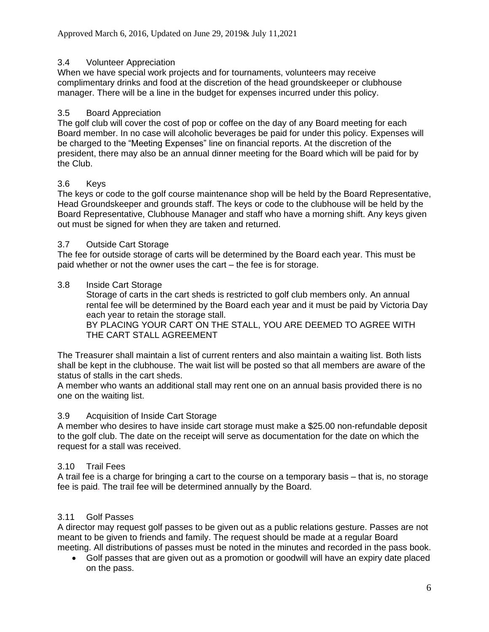# 3.4 Volunteer Appreciation

When we have special work projects and for tournaments, volunteers may receive complimentary drinks and food at the discretion of the head groundskeeper or clubhouse manager. There will be a line in the budget for expenses incurred under this policy.

# 3.5 Board Appreciation

The golf club will cover the cost of pop or coffee on the day of any Board meeting for each Board member. In no case will alcoholic beverages be paid for under this policy. Expenses will be charged to the "Meeting Expenses" line on financial reports. At the discretion of the president, there may also be an annual dinner meeting for the Board which will be paid for by the Club.

# 3.6 Keys

The keys or code to the golf course maintenance shop will be held by the Board Representative, Head Groundskeeper and grounds staff. The keys or code to the clubhouse will be held by the Board Representative, Clubhouse Manager and staff who have a morning shift. Any keys given out must be signed for when they are taken and returned.

# 3.7 Outside Cart Storage

The fee for outside storage of carts will be determined by the Board each year. This must be paid whether or not the owner uses the cart – the fee is for storage.

# 3.8 Inside Cart Storage

Storage of carts in the cart sheds is restricted to golf club members only. An annual rental fee will be determined by the Board each year and it must be paid by Victoria Day each year to retain the storage stall.

BY PLACING YOUR CART ON THE STALL, YOU ARE DEEMED TO AGREE WITH THE CART STALL AGREEMENT

The Treasurer shall maintain a list of current renters and also maintain a waiting list. Both lists shall be kept in the clubhouse. The wait list will be posted so that all members are aware of the status of stalls in the cart sheds.

A member who wants an additional stall may rent one on an annual basis provided there is no one on the waiting list.

# 3.9 Acquisition of Inside Cart Storage

A member who desires to have inside cart storage must make a \$25.00 non-refundable deposit to the golf club. The date on the receipt will serve as documentation for the date on which the request for a stall was received.

# 3.10 Trail Fees

A trail fee is a charge for bringing a cart to the course on a temporary basis – that is, no storage fee is paid. The trail fee will be determined annually by the Board.

# 3.11 Golf Passes

A director may request golf passes to be given out as a public relations gesture. Passes are not meant to be given to friends and family. The request should be made at a regular Board meeting. All distributions of passes must be noted in the minutes and recorded in the pass book.

• Golf passes that are given out as a promotion or goodwill will have an expiry date placed on the pass.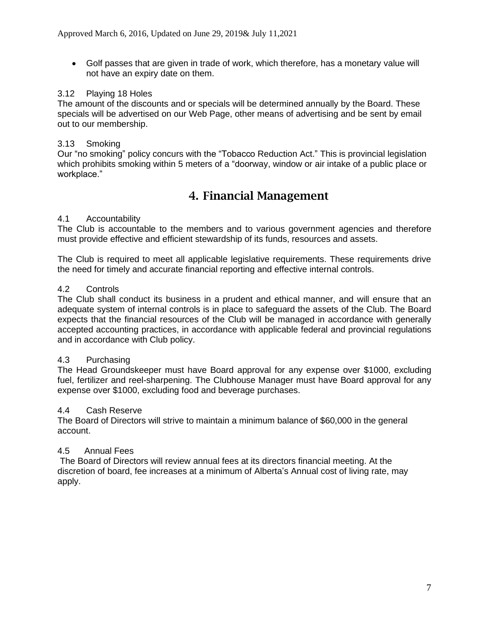• Golf passes that are given in trade of work, which therefore, has a monetary value will not have an expiry date on them.

### 3.12 Playing 18 Holes

The amount of the discounts and or specials will be determined annually by the Board. These specials will be advertised on our Web Page, other means of advertising and be sent by email out to our membership.

### 3.13 Smoking

Our "no smoking" policy concurs with the "Tobacco Reduction Act." This is provincial legislation which prohibits smoking within 5 meters of a "doorway, window or air intake of a public place or workplace."

# 4. Financial Management

#### 4.1 Accountability

The Club is accountable to the members and to various government agencies and therefore must provide effective and efficient stewardship of its funds, resources and assets.

The Club is required to meet all applicable legislative requirements. These requirements drive the need for timely and accurate financial reporting and effective internal controls.

#### 4.2 Controls

The Club shall conduct its business in a prudent and ethical manner, and will ensure that an adequate system of internal controls is in place to safeguard the assets of the Club. The Board expects that the financial resources of the Club will be managed in accordance with generally accepted accounting practices, in accordance with applicable federal and provincial regulations and in accordance with Club policy.

#### 4.3 Purchasing

The Head Groundskeeper must have Board approval for any expense over \$1000, excluding fuel, fertilizer and reel-sharpening. The Clubhouse Manager must have Board approval for any expense over \$1000, excluding food and beverage purchases.

#### 4.4 Cash Reserve

The Board of Directors will strive to maintain a minimum balance of \$60,000 in the general account.

#### 4.5 Annual Fees

The Board of Directors will review annual fees at its directors financial meeting. At the discretion of board, fee increases at a minimum of Alberta's Annual cost of living rate, may apply.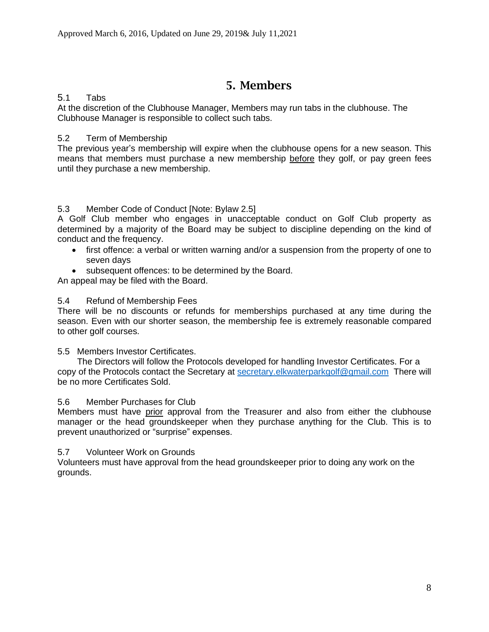# 5. Members

# 5.1 Tabs

At the discretion of the Clubhouse Manager, Members may run tabs in the clubhouse. The Clubhouse Manager is responsible to collect such tabs.

# 5.2 Term of Membership

The previous year's membership will expire when the clubhouse opens for a new season. This means that members must purchase a new membership before they golf, or pay green fees until they purchase a new membership.

# 5.3 Member Code of Conduct [Note: Bylaw 2.5]

A Golf Club member who engages in unacceptable conduct on Golf Club property as determined by a majority of the Board may be subject to discipline depending on the kind of conduct and the frequency.

- first offence: a verbal or written warning and/or a suspension from the property of one to seven days
- subsequent offences: to be determined by the Board.

An appeal may be filed with the Board.

# 5.4 Refund of Membership Fees

There will be no discounts or refunds for memberships purchased at any time during the season. Even with our shorter season, the membership fee is extremely reasonable compared to other golf courses.

# 5.5 Members Investor Certificates.

 The Directors will follow the Protocols developed for handling Investor Certificates. For a copy of the Protocols contact the Secretary at [secretary.elkwaterparkgolf@gmail.com](mailto:secretary.elkwaterparkgolf@gmail.com) There will be no more Certificates Sold.

# 5.6 Member Purchases for Club

Members must have prior approval from the Treasurer and also from either the clubhouse manager or the head groundskeeper when they purchase anything for the Club. This is to prevent unauthorized or "surprise" expenses.

#### 5.7 Volunteer Work on Grounds

Volunteers must have approval from the head groundskeeper prior to doing any work on the grounds.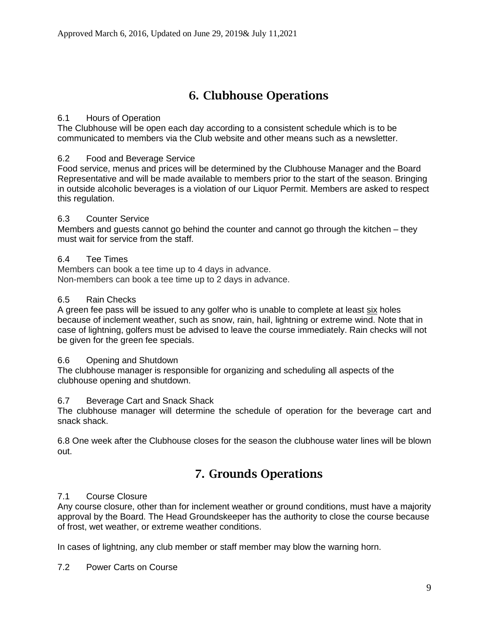# 6. Clubhouse Operations

# 6.1 Hours of Operation

The Clubhouse will be open each day according to a consistent schedule which is to be communicated to members via the Club website and other means such as a newsletter.

# 6.2 Food and Beverage Service

Food service, menus and prices will be determined by the Clubhouse Manager and the Board Representative and will be made available to members prior to the start of the season. Bringing in outside alcoholic beverages is a violation of our Liquor Permit. Members are asked to respect this regulation.

### 6.3 Counter Service

Members and guests cannot go behind the counter and cannot go through the kitchen – they must wait for service from the staff.

### 6.4 Tee Times

Members can book a tee time up to 4 days in advance. Non-members can book a tee time up to 2 days in advance.

### 6.5 Rain Checks

A green fee pass will be issued to any golfer who is unable to complete at least six holes because of inclement weather, such as snow, rain, hail, lightning or extreme wind. Note that in case of lightning, golfers must be advised to leave the course immediately. Rain checks will not be given for the green fee specials.

# 6.6 Opening and Shutdown

The clubhouse manager is responsible for organizing and scheduling all aspects of the clubhouse opening and shutdown.

#### 6.7 Beverage Cart and Snack Shack

The clubhouse manager will determine the schedule of operation for the beverage cart and snack shack.

6.8 One week after the Clubhouse closes for the season the clubhouse water lines will be blown out.

# 7. Grounds Operations

# 7.1 Course Closure

Any course closure, other than for inclement weather or ground conditions, must have a majority approval by the Board. The Head Groundskeeper has the authority to close the course because of frost, wet weather, or extreme weather conditions.

In cases of lightning, any club member or staff member may blow the warning horn.

7.2 Power Carts on Course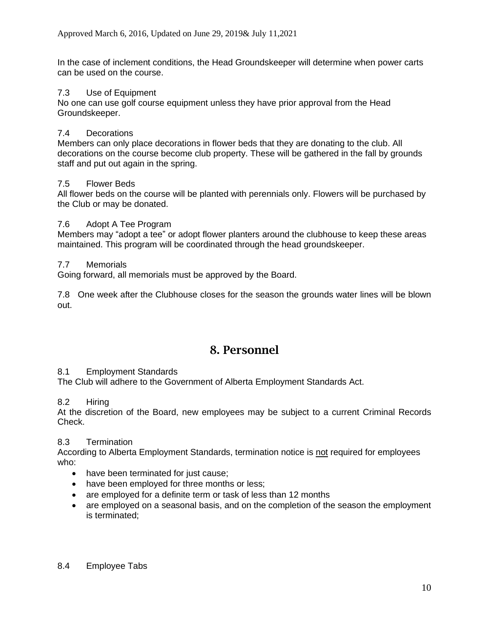In the case of inclement conditions, the Head Groundskeeper will determine when power carts can be used on the course.

7.3 Use of Equipment

No one can use golf course equipment unless they have prior approval from the Head Groundskeeper.

#### 7.4 Decorations

Members can only place decorations in flower beds that they are donating to the club. All decorations on the course become club property. These will be gathered in the fall by grounds staff and put out again in the spring.

#### 7.5 Flower Beds

All flower beds on the course will be planted with perennials only. Flowers will be purchased by the Club or may be donated.

#### 7.6 Adopt A Tee Program

Members may "adopt a tee" or adopt flower planters around the clubhouse to keep these areas maintained. This program will be coordinated through the head groundskeeper.

#### 7.7 Memorials

Going forward, all memorials must be approved by the Board.

7.8 One week after the Clubhouse closes for the season the grounds water lines will be blown out.

# 8. Personnel

#### 8.1 Employment Standards

The Club will adhere to the Government of Alberta Employment Standards Act.

#### 8.2 Hiring

At the discretion of the Board, new employees may be subject to a current Criminal Records Check.

#### 8.3 Termination

According to Alberta Employment Standards, termination notice is not required for employees who:

- have been terminated for just cause;
- have been employed for three months or less;
- are employed for a definite term or task of less than 12 months
- are employed on a seasonal basis, and on the completion of the season the employment is terminated;

#### 8.4 Employee Tabs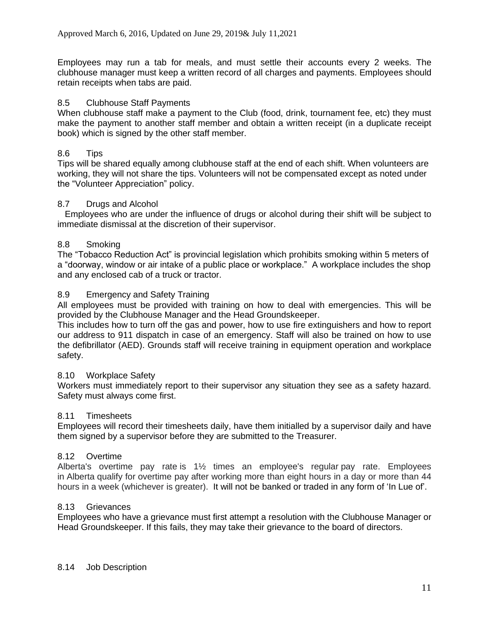Employees may run a tab for meals, and must settle their accounts every 2 weeks. The clubhouse manager must keep a written record of all charges and payments. Employees should retain receipts when tabs are paid.

#### 8.5 Clubhouse Staff Payments

When clubhouse staff make a payment to the Club (food, drink, tournament fee, etc) they must make the payment to another staff member and obtain a written receipt (in a duplicate receipt book) which is signed by the other staff member.

#### 8.6 Tips

Tips will be shared equally among clubhouse staff at the end of each shift. When volunteers are working, they will not share the tips. Volunteers will not be compensated except as noted under the "Volunteer Appreciation" policy.

#### 8.7 Drugs and Alcohol

 Employees who are under the influence of drugs or alcohol during their shift will be subject to immediate dismissal at the discretion of their supervisor.

#### 8.8 Smoking

The "Tobacco Reduction Act" is provincial legislation which prohibits smoking within 5 meters of a "doorway, window or air intake of a public place or workplace." A workplace includes the shop and any enclosed cab of a truck or tractor.

#### 8.9 Emergency and Safety Training

All employees must be provided with training on how to deal with emergencies. This will be provided by the Clubhouse Manager and the Head Groundskeeper.

This includes how to turn off the gas and power, how to use fire extinguishers and how to report our address to 911 dispatch in case of an emergency. Staff will also be trained on how to use the defibrillator (AED). Grounds staff will receive training in equipment operation and workplace safety.

#### 8.10 Workplace Safety

Workers must immediately report to their supervisor any situation they see as a safety hazard. Safety must always come first.

#### 8.11 Timesheets

Employees will record their timesheets daily, have them initialled by a supervisor daily and have them signed by a supervisor before they are submitted to the Treasurer.

#### 8.12 Overtime

Alberta's overtime pay rate is 1½ times an employee's regular pay rate. Employees in Alberta qualify for overtime pay after working more than eight hours in a day or more than 44 hours in a week (whichever is greater). It will not be banked or traded in any form of 'In Lue of'.

#### 8.13 Grievances

Employees who have a grievance must first attempt a resolution with the Clubhouse Manager or Head Groundskeeper. If this fails, they may take their grievance to the board of directors.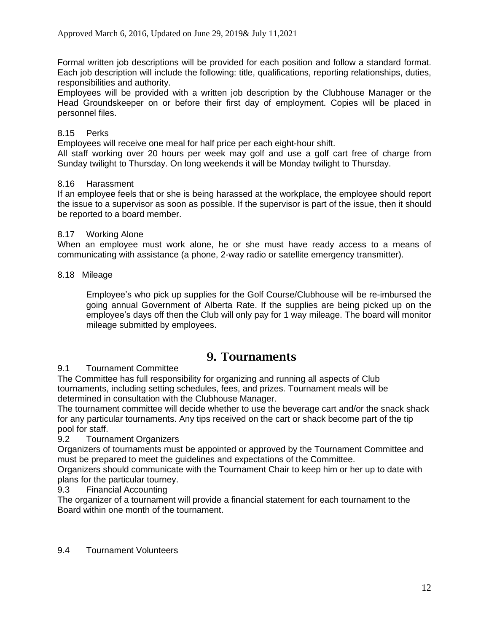Formal written job descriptions will be provided for each position and follow a standard format. Each job description will include the following: title, qualifications, reporting relationships, duties, responsibilities and authority.

Employees will be provided with a written job description by the Clubhouse Manager or the Head Groundskeeper on or before their first day of employment. Copies will be placed in personnel files.

### 8.15 Perks

Employees will receive one meal for half price per each eight-hour shift.

All staff working over 20 hours per week may golf and use a golf cart free of charge from Sunday twilight to Thursday. On long weekends it will be Monday twilight to Thursday.

#### 8.16 Harassment

If an employee feels that or she is being harassed at the workplace, the employee should report the issue to a supervisor as soon as possible. If the supervisor is part of the issue, then it should be reported to a board member.

#### 8.17 Working Alone

When an employee must work alone, he or she must have ready access to a means of communicating with assistance (a phone, 2-way radio or satellite emergency transmitter).

#### 8.18 Mileage

Employee's who pick up supplies for the Golf Course/Clubhouse will be re-imbursed the going annual Government of Alberta Rate. If the supplies are being picked up on the employee's days off then the Club will only pay for 1 way mileage. The board will monitor mileage submitted by employees.

# 9. Tournaments

#### 9.1 Tournament Committee

The Committee has full responsibility for organizing and running all aspects of Club tournaments, including setting schedules, fees, and prizes. Tournament meals will be determined in consultation with the Clubhouse Manager.

The tournament committee will decide whether to use the beverage cart and/or the snack shack for any particular tournaments. Any tips received on the cart or shack become part of the tip pool for staff.

#### 9.2 Tournament Organizers

Organizers of tournaments must be appointed or approved by the Tournament Committee and must be prepared to meet the guidelines and expectations of the Committee.

Organizers should communicate with the Tournament Chair to keep him or her up to date with plans for the particular tourney.

#### 9.3 Financial Accounting

The organizer of a tournament will provide a financial statement for each tournament to the Board within one month of the tournament.

#### 9.4 Tournament Volunteers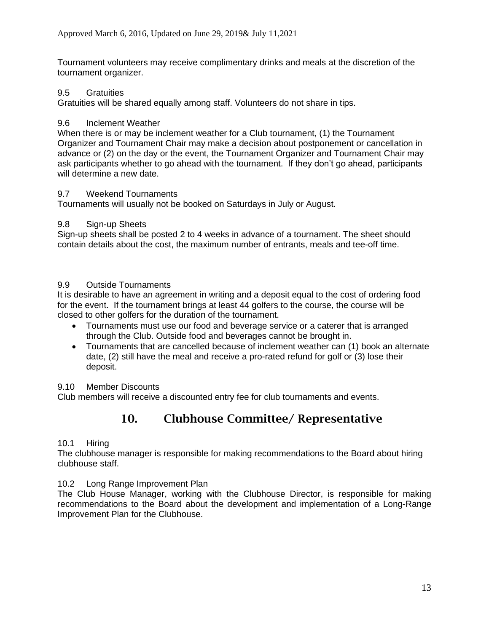Tournament volunteers may receive complimentary drinks and meals at the discretion of the tournament organizer.

### 9.5 Gratuities

Gratuities will be shared equally among staff. Volunteers do not share in tips.

#### 9.6 Inclement Weather

When there is or may be inclement weather for a Club tournament, (1) the Tournament Organizer and Tournament Chair may make a decision about postponement or cancellation in advance or (2) on the day or the event, the Tournament Organizer and Tournament Chair may ask participants whether to go ahead with the tournament. If they don't go ahead, participants will determine a new date.

#### 9.7 Weekend Tournaments

Tournaments will usually not be booked on Saturdays in July or August.

#### 9.8 Sign-up Sheets

Sign-up sheets shall be posted 2 to 4 weeks in advance of a tournament. The sheet should contain details about the cost, the maximum number of entrants, meals and tee-off time.

#### 9.9 Outside Tournaments

It is desirable to have an agreement in writing and a deposit equal to the cost of ordering food for the event. If the tournament brings at least 44 golfers to the course, the course will be closed to other golfers for the duration of the tournament.

- Tournaments must use our food and beverage service or a caterer that is arranged through the Club. Outside food and beverages cannot be brought in.
- Tournaments that are cancelled because of inclement weather can (1) book an alternate date, (2) still have the meal and receive a pro-rated refund for golf or (3) lose their deposit.

#### 9.10 Member Discounts

Club members will receive a discounted entry fee for club tournaments and events.

# 10. Clubhouse Committee/ Representative

#### 10.1 Hiring

The clubhouse manager is responsible for making recommendations to the Board about hiring clubhouse staff.

#### 10.2 Long Range Improvement Plan

The Club House Manager, working with the Clubhouse Director, is responsible for making recommendations to the Board about the development and implementation of a Long-Range Improvement Plan for the Clubhouse.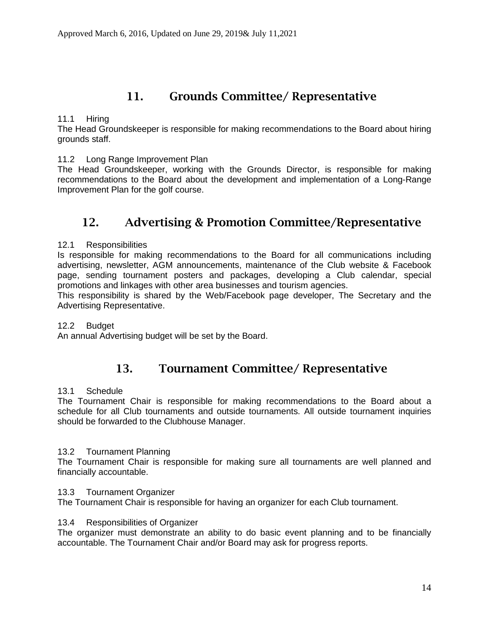# 11. Grounds Committee/ Representative

#### 11.1 Hiring

The Head Groundskeeper is responsible for making recommendations to the Board about hiring grounds staff.

#### 11.2 Long Range Improvement Plan

The Head Groundskeeper, working with the Grounds Director, is responsible for making recommendations to the Board about the development and implementation of a Long-Range Improvement Plan for the golf course.

# 12. Advertising & Promotion Committee/Representative

#### 12.1 Responsibilities

Is responsible for making recommendations to the Board for all communications including advertising, newsletter, AGM announcements, maintenance of the Club website & Facebook page, sending tournament posters and packages, developing a Club calendar, special promotions and linkages with other area businesses and tourism agencies.

This responsibility is shared by the Web/Facebook page developer, The Secretary and the Advertising Representative.

#### 12.2 Budget

An annual Advertising budget will be set by the Board.

# 13. Tournament Committee/ Representative

#### 13.1 Schedule

The Tournament Chair is responsible for making recommendations to the Board about a schedule for all Club tournaments and outside tournaments. All outside tournament inquiries should be forwarded to the Clubhouse Manager.

#### 13.2 Tournament Planning

The Tournament Chair is responsible for making sure all tournaments are well planned and financially accountable.

#### 13.3 Tournament Organizer

The Tournament Chair is responsible for having an organizer for each Club tournament.

#### 13.4 Responsibilities of Organizer

The organizer must demonstrate an ability to do basic event planning and to be financially accountable. The Tournament Chair and/or Board may ask for progress reports.